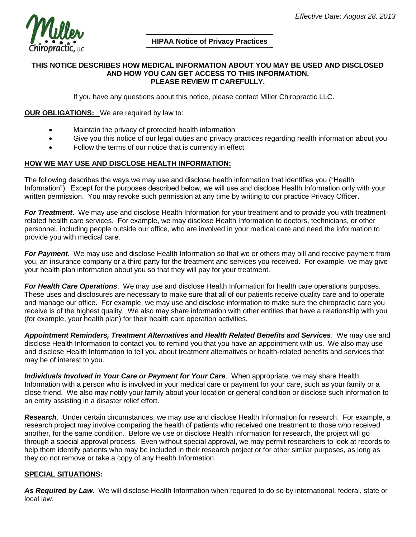

# **HIPAA Notice of Privacy Practices**

#### **THIS NOTICE DESCRIBES HOW MEDICAL INFORMATION ABOUT YOU MAY BE USED AND DISCLOSED AND HOW YOU CAN GET ACCESS TO THIS INFORMATION. PLEASE REVIEW IT CAREFULLY.**

If you have any questions about this notice, please contact Miller Chiropractic LLC.

### **OUR OBLIGATIONS:** We are required by law to:

- Maintain the privacy of protected health information
- Give you this notice of our legal duties and privacy practices regarding health information about you
- Follow the terms of our notice that is currently in effect

## **HOW WE MAY USE AND DISCLOSE HEALTH INFORMATION:**

The following describes the ways we may use and disclose health information that identifies you ("Health Information"). Except for the purposes described below, we will use and disclose Health Information only with your written permission. You may revoke such permission at any time by writing to our practice Privacy Officer.

*For Treatment*. We may use and disclose Health Information for your treatment and to provide you with treatmentrelated health care services. For example, we may disclose Health Information to doctors, technicians, or other personnel, including people outside our office, who are involved in your medical care and need the information to provide you with medical care.

*For Payment*. We may use and disclose Health Information so that we or others may bill and receive payment from you, an insurance company or a third party for the treatment and services you received. For example, we may give your health plan information about you so that they will pay for your treatment.

*For Health Care Operations*. We may use and disclose Health Information for health care operations purposes. These uses and disclosures are necessary to make sure that all of our patients receive quality care and to operate and manage our office. For example, we may use and disclose information to make sure the chiropractic care you receive is of the highest quality. We also may share information with other entities that have a relationship with you (for example, your health plan) for their health care operation activities.

*Appointment Reminders, Treatment Alternatives and Health Related Benefits and Services*. We may use and disclose Health Information to contact you to remind you that you have an appointment with us. We also may use and disclose Health Information to tell you about treatment alternatives or health-related benefits and services that may be of interest to you.

*Individuals Involved in Your Care or Payment for Your Care*. When appropriate, we may share Health Information with a person who is involved in your medical care or payment for your care, such as your family or a close friend. We also may notify your family about your location or general condition or disclose such information to an entity assisting in a disaster relief effort.

*Research*. Under certain circumstances, we may use and disclose Health Information for research. For example, a research project may involve comparing the health of patients who received one treatment to those who received another, for the same condition. Before we use or disclose Health Information for research, the project will go through a special approval process. Even without special approval, we may permit researchers to look at records to help them identify patients who may be included in their research project or for other similar purposes, as long as they do not remove or take a copy of any Health Information.

#### **SPECIAL SITUATIONS:**

*As Required by Law*. We will disclose Health Information when required to do so by international, federal, state or local law.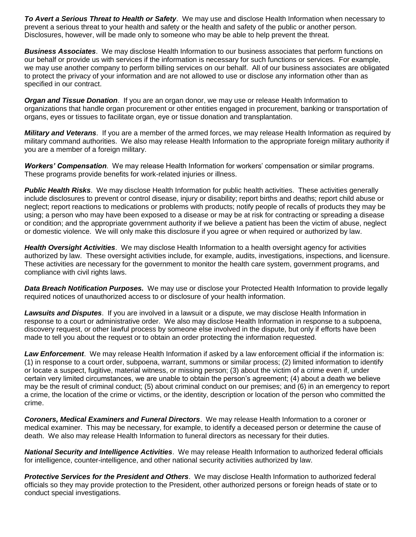*To Avert a Serious Threat to Health or Safety*. We may use and disclose Health Information when necessary to prevent a serious threat to your health and safety or the health and safety of the public or another person. Disclosures, however, will be made only to someone who may be able to help prevent the threat.

*Business Associates*. We may disclose Health Information to our business associates that perform functions on our behalf or provide us with services if the information is necessary for such functions or services. For example, we may use another company to perform billing services on our behalf. All of our business associates are obligated to protect the privacy of your information and are not allowed to use or disclose any information other than as specified in our contract.

*Organ and Tissue Donation*. If you are an organ donor, we may use or release Health Information to organizations that handle organ procurement or other entities engaged in procurement, banking or transportation of organs, eyes or tissues to facilitate organ, eye or tissue donation and transplantation.

*Military and Veterans*. If you are a member of the armed forces, we may release Health Information as required by military command authorities. We also may release Health Information to the appropriate foreign military authority if you are a member of a foreign military.

*Workers' Compensation*. We may release Health Information for workers' compensation or similar programs. These programs provide benefits for work-related injuries or illness.

*Public Health Risks*. We may disclose Health Information for public health activities. These activities generally include disclosures to prevent or control disease, injury or disability; report births and deaths; report child abuse or neglect; report reactions to medications or problems with products; notify people of recalls of products they may be using; a person who may have been exposed to a disease or may be at risk for contracting or spreading a disease or condition; and the appropriate government authority if we believe a patient has been the victim of abuse, neglect or domestic violence. We will only make this disclosure if you agree or when required or authorized by law.

*Health Oversight Activities*. We may disclose Health Information to a health oversight agency for activities authorized by law. These oversight activities include, for example, audits, investigations, inspections, and licensure. These activities are necessary for the government to monitor the health care system, government programs, and compliance with civil rights laws.

*Data Breach Notification Purposes.* We may use or disclose your Protected Health Information to provide legally required notices of unauthorized access to or disclosure of your health information.

*Lawsuits and Disputes*. If you are involved in a lawsuit or a dispute, we may disclose Health Information in response to a court or administrative order. We also may disclose Health Information in response to a subpoena, discovery request, or other lawful process by someone else involved in the dispute, but only if efforts have been made to tell you about the request or to obtain an order protecting the information requested.

*Law Enforcement*. We may release Health Information if asked by a law enforcement official if the information is: (1) in response to a court order, subpoena, warrant, summons or similar process; (2) limited information to identify or locate a suspect, fugitive, material witness, or missing person; (3) about the victim of a crime even if, under certain very limited circumstances, we are unable to obtain the person's agreement; (4) about a death we believe may be the result of criminal conduct; (5) about criminal conduct on our premises; and (6) in an emergency to report a crime, the location of the crime or victims, or the identity, description or location of the person who committed the crime.

*Coroners, Medical Examiners and Funeral Directors*. We may release Health Information to a coroner or medical examiner. This may be necessary, for example, to identify a deceased person or determine the cause of death. We also may release Health Information to funeral directors as necessary for their duties.

*National Security and Intelligence Activities*. We may release Health Information to authorized federal officials for intelligence, counter-intelligence, and other national security activities authorized by law.

*Protective Services for the President and Others*. We may disclose Health Information to authorized federal officials so they may provide protection to the President, other authorized persons or foreign heads of state or to conduct special investigations.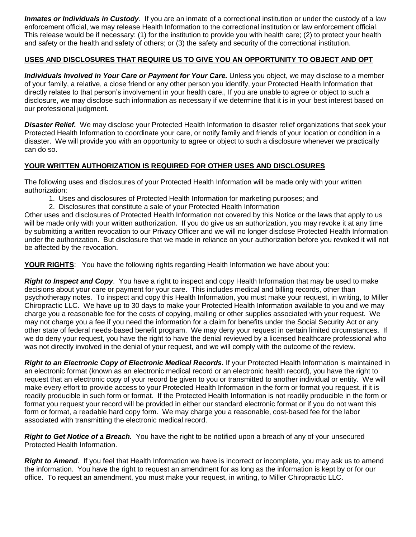*Inmates or Individuals in Custody*. If you are an inmate of a correctional institution or under the custody of a law enforcement official, we may release Health Information to the correctional institution or law enforcement official. This release would be if necessary: (1) for the institution to provide you with health care; (2) to protect your health and safety or the health and safety of others; or (3) the safety and security of the correctional institution.

## **USES AND DISCLOSURES THAT REQUIRE US TO GIVE YOU AN OPPORTUNITY TO OBJECT AND OPT**

*Individuals Involved in Your Care or Payment for Your Care.* Unless you object, we may disclose to a member of your family, a relative, a close friend or any other person you identify, your Protected Health Information that directly relates to that person's involvement in your health care., If you are unable to agree or object to such a disclosure, we may disclose such information as necessary if we determine that it is in your best interest based on our professional judgment.

*Disaster Relief.* We may disclose your Protected Health Information to disaster relief organizations that seek your Protected Health Information to coordinate your care, or notify family and friends of your location or condition in a disaster. We will provide you with an opportunity to agree or object to such a disclosure whenever we practically can do so.

## **YOUR WRITTEN AUTHORIZATION IS REQUIRED FOR OTHER USES AND DISCLOSURES**

The following uses and disclosures of your Protected Health Information will be made only with your written authorization:

- 1. Uses and disclosures of Protected Health Information for marketing purposes; and
- 2. Disclosures that constitute a sale of your Protected Health Information

Other uses and disclosures of Protected Health Information not covered by this Notice or the laws that apply to us will be made only with your written authorization. If you do give us an authorization, you may revoke it at any time by submitting a written revocation to our Privacy Officer and we will no longer disclose Protected Health Information under the authorization. But disclosure that we made in reliance on your authorization before you revoked it will not be affected by the revocation.

**YOUR RIGHTS**: You have the following rights regarding Health Information we have about you:

*Right to Inspect and Copy*. You have a right to inspect and copy Health Information that may be used to make decisions about your care or payment for your care. This includes medical and billing records, other than psychotherapy notes. To inspect and copy this Health Information, you must make your request, in writing, to Miller Chiropractic LLC. We have up to 30 days to make your Protected Health Information available to you and we may charge you a reasonable fee for the costs of copying, mailing or other supplies associated with your request. We may not charge you a fee if you need the information for a claim for benefits under the Social Security Act or any other state of federal needs-based benefit program. We may deny your request in certain limited circumstances. If we do deny your request, you have the right to have the denial reviewed by a licensed healthcare professional who was not directly involved in the denial of your request, and we will comply with the outcome of the review.

*Right to an Electronic Copy of Electronic Medical Records.* If your Protected Health Information is maintained in an electronic format (known as an electronic medical record or an electronic health record), you have the right to request that an electronic copy of your record be given to you or transmitted to another individual or entity. We will make every effort to provide access to your Protected Health Information in the form or format you request, if it is readily producible in such form or format. If the Protected Health Information is not readily producible in the form or format you request your record will be provided in either our standard electronic format or if you do not want this form or format, a readable hard copy form. We may charge you a reasonable, cost-based fee for the labor associated with transmitting the electronic medical record.

*Right to Get Notice of a Breach.* You have the right to be notified upon a breach of any of your unsecured Protected Health Information.

*Right to Amend*. If you feel that Health Information we have is incorrect or incomplete, you may ask us to amend the information. You have the right to request an amendment for as long as the information is kept by or for our office. To request an amendment, you must make your request, in writing, to Miller Chiropractic LLC.